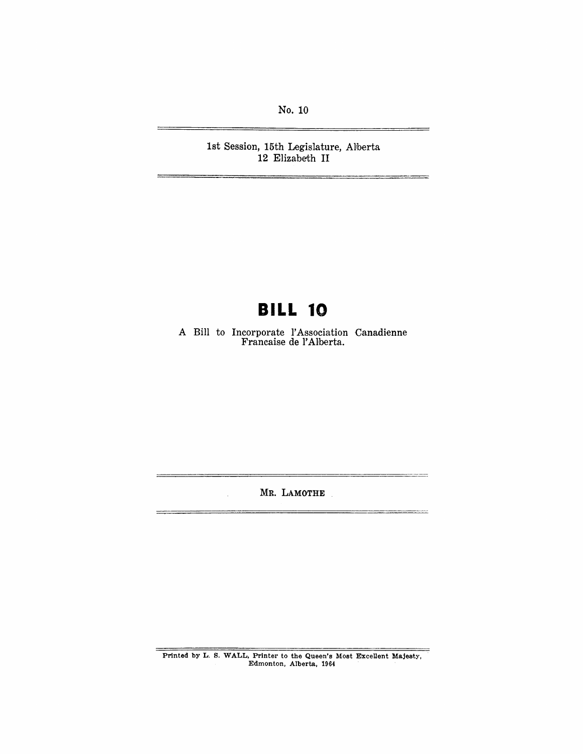No. 10

1st Session, 15th Legislature, Alberta 12 Elizabeth II

# **BILL 10**

A Bill to Incorporate l'Association Canadienne Francaise de l' Alberta.

MR. LAMOTHE

 $\ddot{\phantom{a}}$ 

 $\overline{a}$ 

 $\overline{a}$ 

Printed by L. S. WALL, Printer to the Queen's Most Excellent Majesty, Edmonton, Alberta, 1964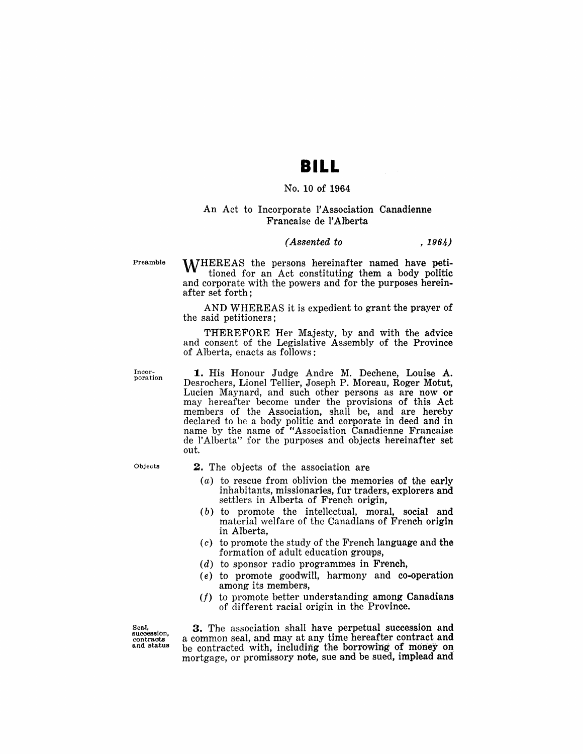### **BILL**

#### No. 10 of 1964

#### An Act to Incorporate l'Association Canadienne Francaise de l'Alberta

#### *(Assented to* , 1964)

Preamble

**M/HEREAS** the persons hereinafter named have petitioned for an Act constituting them a body politic and corporate with the powers and for the purposes hereinafter set forth;

AND WHEREAS it is expedient to grant the prayer of the said petitioners;

THEREFORE Her Majesty, by and with the advice and consent of the Legislative Assembly of the Province of Alberta, enacts as follows:

Inoor-poration

1. His Honour Judge Andre M. Dechene, Louise A. Desrochers, Lionel Tellier, Joseph P. Moreau, Roger Motut, Lucien Maynard, and such other persons as are now or may hereafter become under the provisions of this Act members of the Association, shall be, and are hereby declared to be a body politic and corporate in deed and in name by the name of "Association Ganadienne Francaise de l' Alberta" for the purposes and objects hereinafter set out.

Objects

- 2. The objects of the association are
	- (a) to rescue from oblivion the memories of the early inhabitants, missionaries, fur traders, explorers and settlers in Alberta of French origin,
	- $(b)$  to promote the intellectual, moral, social and material welfare of the Canadians of French origin in Alberta,
	- $(c)$  to promote the study of the French language and the formation of adult education groups,
	- $(d)$  to sponsor radio programmes in French,
	- (e) to promote goodwill, harmony and co-operation among its members,
	- $(f)$  to promote better understanding among Canadians of different racial origin in the Province.

Seal, succession, oontracts and status

3. The association shall have perpetual succession and a common seal, and may at any time hereafter contract and be contracted with, including the borrowing of money on mortgage, or promissory note, sue and be sued, implead and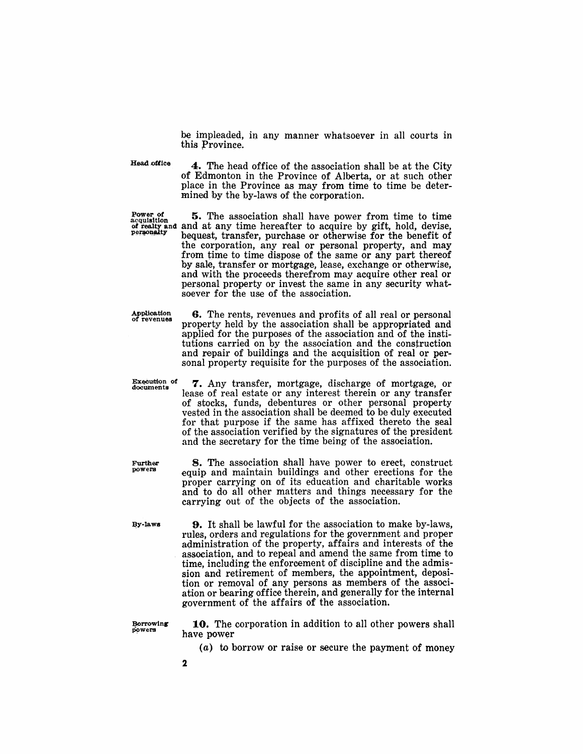be impleaded, in any manner whatsoever in all courts in this Province.

Head office

4. The head office of the association shall be at the City of Edmonton in the Province of Alberta, or at such other place in the Province as may from time to time be determined by the by-laws of the corporation.

Power of  $~5.$  The association shall have power from time to time acquisition *of realty* and and at any time hereafter to acquire by gift, hold, devise, bequest, transfer, purchase or otherwise for the benefit of the corporation, any real or personal property, and may from time to time dispose of the same or any part thereof by sale, transfer or mortgage, lease, exchange or otherwise, and with the proceeds therefrom may acquire other real or personal property or invest the same in any security whatsoever for the use of the association.

> 6. The rents, revenues and profits of all real or personal property held by the association shall be appropriated and applied for the purposes of the association and of the institutions carried on by the association and the construction and repair of buildings and the acquisition of real or personal property requisite for the purposes of the association.

Application<br>of revenues

Execution of<br>documents

7. Any transfer, mortgage, discharge of mortgage, or lease of real estate or any interest therein or any transfer of stocks, funds, debentures or other personal property vested in the association shall be deemed to be duly executed for that purpose if the same has affixed thereto the seal of the association verified by the signatures of the president and the secretary for the time being of the association.

8. The association shall have power to erect, construct equip and maintain buildings and other erections for the proper carrying on of its education and charitable works and to do all other matters and things necessary for the carrying out of the objects of the association.

By-laws

Further powera

> **9.** It shall be lawful for the association to make by-laws, rules, orders and regulations for the government and proper administration of the property, affairs and interests of the association, and to repeal and amend the same from time to time, including the enforcement of discipline and the admission and retirement of members, the appointment, deposition or removal of any persons as members of the association or bearing office therein, and generally for the internal government of the affairs of the association.

Borrowing powers

10. The corporation in addition to all other powers shall have power

- $(a)$  to borrow or raise or secure the payment of money
- 2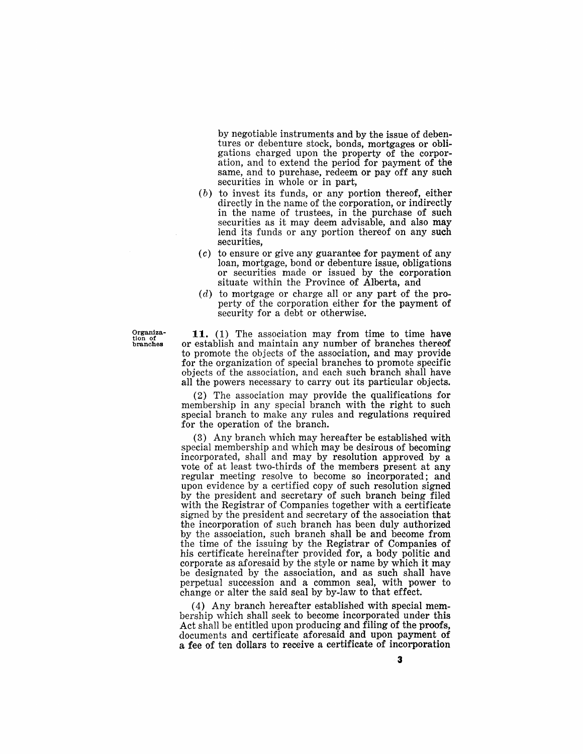by negotiable instruments and by the issue of debentures or debenture stock, bonds, mortgages or obligations charged upon the property of the corporation, and to extend the period for payment of the same, and to purchase, redeem or pay off any such securities in whole or in part,

- (b) to invest its funds, or any portion thereof, either directly in the name of the corporation, or indirectly in the name of trustees, in the purchase of such securities as it may deem advisable, and also may lend its funds or any portion thereof on any such securities,
- $(c)$  to ensure or give any guarantee for payment of any loan, mortgage, bond or debenture issue, obligations or securities made or issued by the corporation situate within the Province of Alberta, and
- $(d)$  to mortgage or charge all or any part of the property of the corporation either for the payment of security for a debt or otherwise.

 $G_{\text{trans}}^{\text{organiza-}}$  11. (1) The association may from time to time have the constant or establish and maintain any number of branches thereof or establish and maintain any number of branches thereof to promote the objects of the association, and may provide for the organization of special branches to promote specific objects of the association, and each such branch shall have all the powers necessary to carry out its particular objects.

> $(2)$  The association may provide the qualifications for membership in any special branch with the right to such special branch to make any rules and regulations required for the operation of the branch.

> $(3)$  Any branch which may hereafter be established with special membership and which may be desirous of becoming incorporated, shall and may by resolution approved by a vote of at least two-thirds of the members present at any regular meeting resolve to become so incorporated; and upon evidence by a certified copy of such resolution signed by the president and secretary of such branch being filed with the Registrar of Companies together with a certificate signed by the president and secretary of the association that the incorporation of such branch has been duly authorized by the association, such branch shall be and become from the time of the issuing by the Registrar of Companies of his certificate hereinafter provided for, a body politic and corporate as aforesaid by the style or name by which it may be designated by the association, and as such shall have perpetual succession and a common seal, with power to change or alter the said seal by by-law to that effect.

(4) Any branch hereafter established with special membership which shall seek to become incorporated under this Act shall be entitled upon producing and filing of the proofs, documents and certificate aforesaid and upon payment of a fee of ten dollars to receive a certificate of incorporation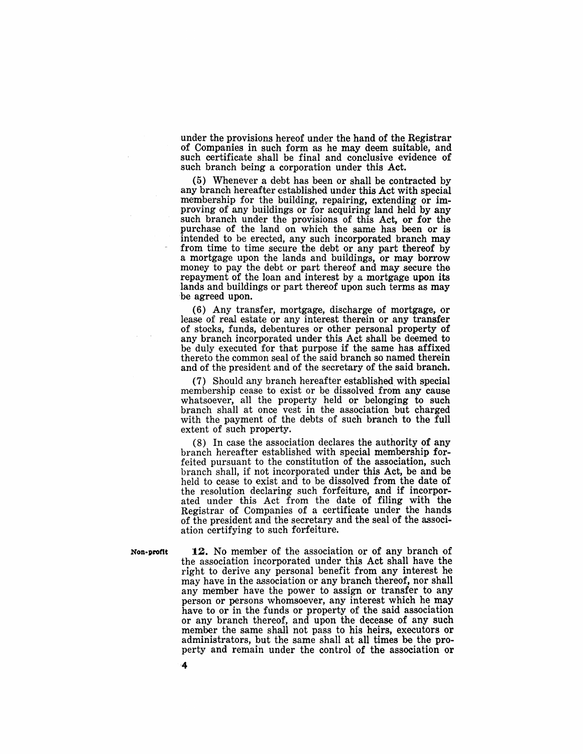under the provisions hereof under the hand of the Registrar of Companies in such form as he may deem suitable, and such certificate shall be final and conclusive evidence of such branch being a corporation under this Act.

(5) Whenever a debt has been or shall be contracted by any branch hereafter established under this Act with special membership for the building, repairing, extending or improving of any buildings or for acquiring land held by any such branch under the provisions of this Act, or for the purchase of the land on which the same has been or is intended to be erected, any such incorporated branch may from time to time secure the debt or any part thereof by a mortgage upon the lands and buildings, or may borrow money to pay the debt or part thereof and may secure the repayment of the loan and interest by a mortgage upon its lands and buildings or part thereof upon such terms as may be agreed upon.

(6) Any transfer, mortgage, discharge of mortgage, or lease of real estate or any interest therein or any transfer of stocks, funds, debentures or other personal property of any branch incorporated under this Act shall be deemed to be duly executed for that purpose if the same has affixed thereto the common seal of the said branch so named therein and of the president and of the secretary of the said branch.

(7) Should any branch hereafter established with special memhership cease to exist or be dissolved from any cause whatsoever, all the property held or belonging to such branch shall at once vest in the association but charged with the payment of the debts of such branch to the full extent of such property.

(8) In case the association declares the authority of any branch hereafter established with special membership forfeited pursuant to the constitution of the association, such branch shall, if not incorporated under this Act, be and be held to cease to exist and to be dissolved from the date of the resolution declaring such forfeiture, and if incorporated under this Act from the date of filing with the Registrar of Companies of a certificate under the hands of the president and the secretary and the seal of the association certifying to such forfeiture.

Non-profit 12. No member of the association or of any branch of the association incorporated under this Act shall have the right to derive any personal benefit from any interest he may have in the association or any branch thereof, nor shall any member have the power to assign or transfer to any person or persons whomsoever, any interest which he may have to or in the funds or property of the said association or any branch thereof, and upon the decease of any such member the same shall not pass to his heirs, executors or administrators, but the same shall at all times be the property and remain under the control of the association or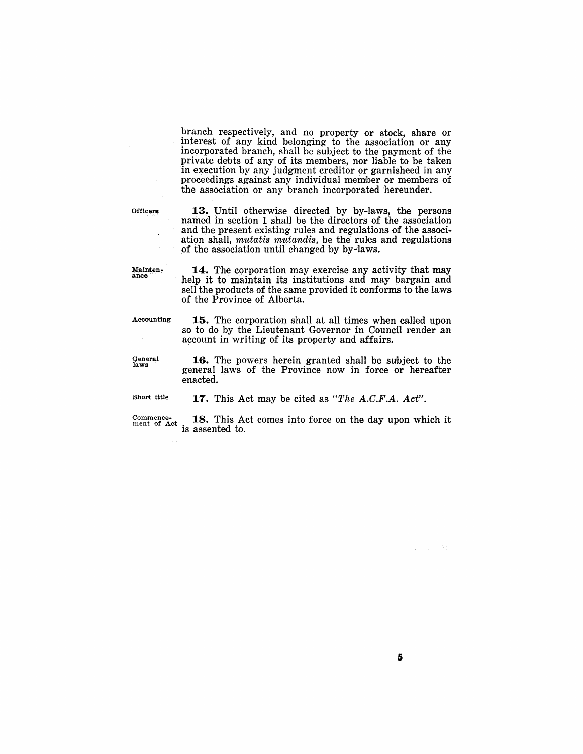branch respectively, and no property or stock, share or interest of any kind belonging to the association or any incorporated branch, shall be subject to the payment of the private debts of any of its members, nor liable to be taken in execution by any judgment creditor or garnisheed in any proceedings against any individual member or members of the association or any branch incorporated hereunder.

**Officers** 

13. Until otherwise directed by by-laws, the persons named in section 1 shall be the directors of the association and the present existing rules and regulations of the association shall, *mutatis mutandis,* be the rules and regulations of the association until changed by by-laws.

Mainten-<br>ance

**14.** The corporation may exercise any activity that may help it to maintain its institutions and may bargain and sell the products of the same provided it conforms to the laws of the Province of Alberta.

Accounting

15. The corporation shall at all times when called upon so to do by the Lieutenant Governor in Council render an account in writing of its property and affairs.

General laws·

**16.** The powers herein granted shall be subject to the general laws of the Province now in force or hereafter enacted.

**17.** This Act may be cited as *"The A.C.F.A. Act".* 

Short title

 $^{\text{Comment of }}_{\text{met of Act}}$  18. This Act comes into force on the day upon which it

is assented to.

 $\mathcal{I}_\infty = \mathcal{I}_\infty = -30$